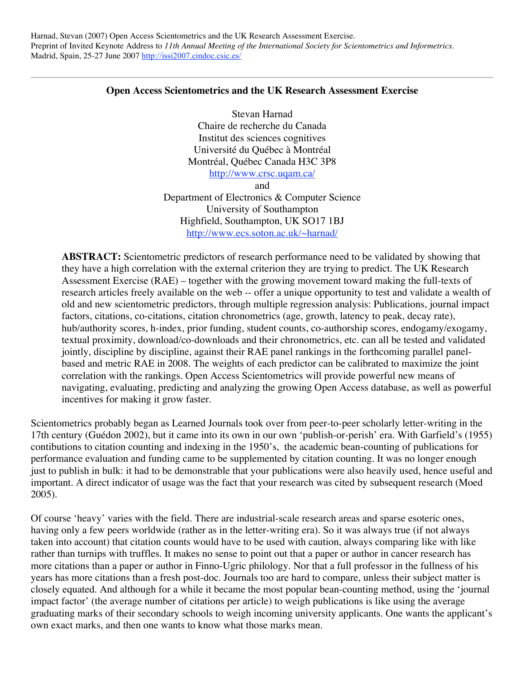## **Open Access Scientometrics and the UK Research Assessment Exercise**

Stevan Harnad Chaire de recherche du Canada Institut des sciences cognitives Université du Québec à Montréal Montréal, Québec Canada H3C 3P8 http://www.crsc.uqam.ca/

and Department of Electronics & Computer Science University of Southampton Highfield, Southampton, UK SO17 1BJ http://www.ecs.soton.ac.uk/~harnad/

**ABSTRACT:** Scientometric predictors of research performance need to be validated by showing that they have a high correlation with the external criterion they are trying to predict. The UK Research Assessment Exercise (RAE) – together with the growing movement toward making the full-texts of research articles freely available on the web -- offer a unique opportunity to test and validate a wealth of old and new scientometric predictors, through multiple regression analysis: Publications, journal impact factors, citations, co-citations, citation chronometrics (age, growth, latency to peak, decay rate), hub/authority scores, h-index, prior funding, student counts, co-authorship scores, endogamy/exogamy, textual proximity, download/co-downloads and their chronometrics, etc. can all be tested and validated jointly, discipline by discipline, against their RAE panel rankings in the forthcoming parallel panelbased and metric RAE in 2008. The weights of each predictor can be calibrated to maximize the joint correlation with the rankings. Open Access Scientometrics will provide powerful new means of navigating, evaluating, predicting and analyzing the growing Open Access database, as well as powerful incentives for making it grow faster.

Scientometrics probably began as Learned Journals took over from peer-to-peer scholarly letter-writing in the 17th century (Guédon 2002), but it came into its own in our own 'publish-or-perish' era. With Garfield's (1955) contibutions to citation counting and indexing in the 1950's, the academic bean-counting of publications for performance evaluation and funding came to be supplemented by citation counting. It was no longer enough just to publish in bulk: it had to be demonstrable that your publications were also heavily used, hence useful and important. A direct indicator of usage was the fact that your research was cited by subsequent research (Moed 2005).

Of course 'heavy' varies with the field. There are industrial-scale research areas and sparse esoteric ones, having only a few peers worldwide (rather as in the letter-writing era). So it was always true (if not always taken into account) that citation counts would have to be used with caution, always comparing like with like rather than turnips with truffles. It makes no sense to point out that a paper or author in cancer research has more citations than a paper or author in Finno-Ugric philology. Nor that a full professor in the fullness of his years has more citations than a fresh post-doc. Journals too are hard to compare, unless their subject matter is closely equated. And although for a while it became the most popular bean-counting method, using the 'journal impact factor' (the average number of citations per article) to weigh publications is like using the average graduating marks of their secondary schools to weigh incoming university applicants. One wants the applicant's own exact marks, and then one wants to know what those marks mean.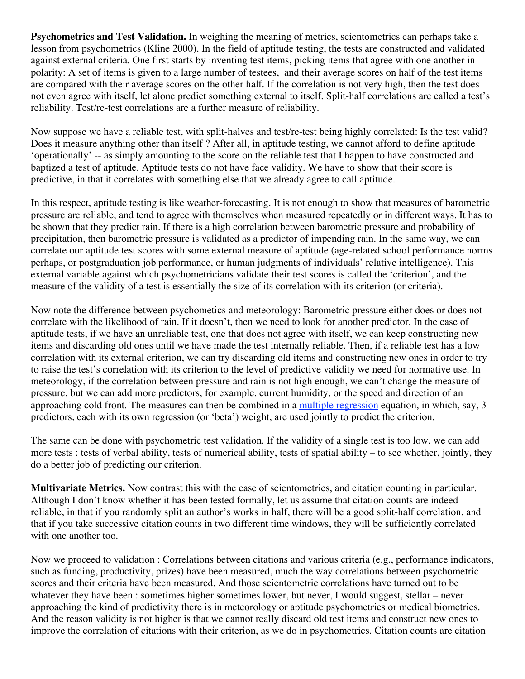**Psychometrics and Test Validation.** In weighing the meaning of metrics, scientometrics can perhaps take a lesson from psychometrics (Kline 2000). In the field of aptitude testing, the tests are constructed and validated against external criteria. One first starts by inventing test items, picking items that agree with one another in polarity: A set of items is given to a large number of testees, and their average scores on half of the test items are compared with their average scores on the other half. If the correlation is not very high, then the test does not even agree with itself, let alone predict something external to itself. Split-half correlations are called a test's reliability. Test/re-test correlations are a further measure of reliability.

Now suppose we have a reliable test, with split-halves and test/re-test being highly correlated: Is the test valid? Does it measure anything other than itself ? After all, in aptitude testing, we cannot afford to define aptitude 'operationally' -- as simply amounting to the score on the reliable test that I happen to have constructed and baptized a test of aptitude. Aptitude tests do not have face validity. We have to show that their score is predictive, in that it correlates with something else that we already agree to call aptitude.

In this respect, aptitude testing is like weather-forecasting. It is not enough to show that measures of barometric pressure are reliable, and tend to agree with themselves when measured repeatedly or in different ways. It has to be shown that they predict rain. If there is a high correlation between barometric pressure and probability of precipitation, then barometric pressure is validated as a predictor of impending rain. In the same way, we can correlate our aptitude test scores with some external measure of aptitude (age-related school performance norms perhaps, or postgraduation job performance, or human judgments of individuals' relative intelligence). This external variable against which psychometricians validate their test scores is called the 'criterion', and the measure of the validity of a test is essentially the size of its correlation with its criterion (or criteria).

Now note the difference between psychometics and meteorology: Barometric pressure either does or does not correlate with the likelihood of rain. If it doesn't, then we need to look for another predictor. In the case of aptitude tests, if we have an unreliable test, one that does not agree with itself, we can keep constructing new items and discarding old ones until we have made the test internally reliable. Then, if a reliable test has a low correlation with its external criterion, we can try discarding old items and constructing new ones in order to try to raise the test's correlation with its criterion to the level of predictive validity we need for normative use. In meteorology, if the correlation between pressure and rain is not high enough, we can't change the measure of pressure, but we can add more predictors, for example, current humidity, or the speed and direction of an approaching cold front. The measures can then be combined in a multiple regression equation, in which, say, 3 predictors, each with its own regression (or 'beta') weight, are used jointly to predict the criterion.

The same can be done with psychometric test validation. If the validity of a single test is too low, we can add more tests : tests of verbal ability, tests of numerical ability, tests of spatial ability – to see whether, jointly, they do a better job of predicting our criterion.

**Multivariate Metrics.** Now contrast this with the case of scientometrics, and citation counting in particular. Although I don't know whether it has been tested formally, let us assume that citation counts are indeed reliable, in that if you randomly split an author's works in half, there will be a good split-half correlation, and that if you take successive citation counts in two different time windows, they will be sufficiently correlated with one another too.

Now we proceed to validation : Correlations between citations and various criteria (e.g., performance indicators, such as funding, productivity, prizes) have been measured, much the way correlations between psychometric scores and their criteria have been measured. And those scientometric correlations have turned out to be whatever they have been : sometimes higher sometimes lower, but never, I would suggest, stellar – never approaching the kind of predictivity there is in meteorology or aptitude psychometrics or medical biometrics. And the reason validity is not higher is that we cannot really discard old test items and construct new ones to improve the correlation of citations with their criterion, as we do in psychometrics. Citation counts are citation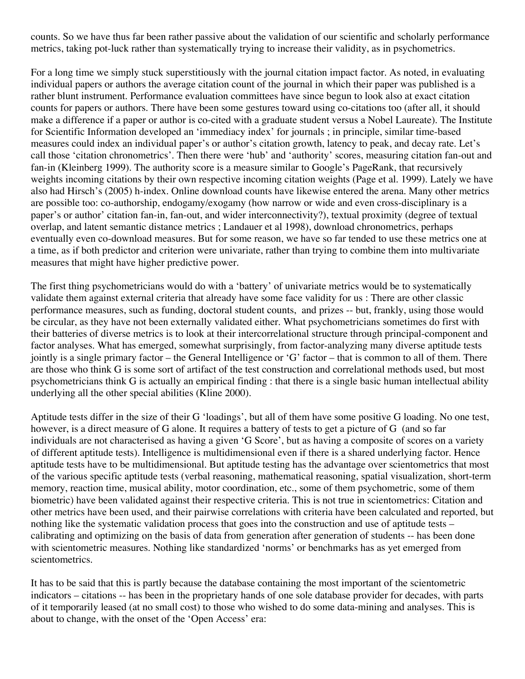counts. So we have thus far been rather passive about the validation of our scientific and scholarly performance metrics, taking pot-luck rather than systematically trying to increase their validity, as in psychometrics.

For a long time we simply stuck superstitiously with the journal citation impact factor. As noted, in evaluating individual papers or authors the average citation count of the journal in which their paper was published is a rather blunt instrument. Performance evaluation committees have since begun to look also at exact citation counts for papers or authors. There have been some gestures toward using co-citations too (after all, it should make a difference if a paper or author is co-cited with a graduate student versus a Nobel Laureate). The Institute for Scientific Information developed an 'immediacy index' for journals ; in principle, similar time-based measures could index an individual paper's or author's citation growth, latency to peak, and decay rate. Let's call those 'citation chronometrics'. Then there were 'hub' and 'authority' scores, measuring citation fan-out and fan-in (Kleinberg 1999). The authority score is a measure similar to Google's PageRank, that recursively weights incoming citations by their own respective incoming citation weights (Page et al. 1999). Lately we have also had Hirsch's (2005) h-index. Online download counts have likewise entered the arena. Many other metrics are possible too: co-authorship, endogamy/exogamy (how narrow or wide and even cross-disciplinary is a paper's or author' citation fan-in, fan-out, and wider interconnectivity?), textual proximity (degree of textual overlap, and latent semantic distance metrics ; Landauer et al 1998), download chronometrics, perhaps eventually even co-download measures. But for some reason, we have so far tended to use these metrics one at a time, as if both predictor and criterion were univariate, rather than trying to combine them into multivariate measures that might have higher predictive power.

The first thing psychometricians would do with a 'battery' of univariate metrics would be to systematically validate them against external criteria that already have some face validity for us : There are other classic performance measures, such as funding, doctoral student counts, and prizes -- but, frankly, using those would be circular, as they have not been externally validated either. What psychometricians sometimes do first with their batteries of diverse metrics is to look at their intercorrelational structure through principal-component and factor analyses. What has emerged, somewhat surprisingly, from factor-analyzing many diverse aptitude tests jointly is a single primary factor – the General Intelligence or 'G' factor – that is common to all of them. There are those who think G is some sort of artifact of the test construction and correlational methods used, but most psychometricians think G is actually an empirical finding : that there is a single basic human intellectual ability underlying all the other special abilities (Kline 2000).

Aptitude tests differ in the size of their G 'loadings', but all of them have some positive G loading. No one test, however, is a direct measure of G alone. It requires a battery of tests to get a picture of G (and so far individuals are not characterised as having a given 'G Score', but as having a composite of scores on a variety of different aptitude tests). Intelligence is multidimensional even if there is a shared underlying factor. Hence aptitude tests have to be multidimensional. But aptitude testing has the advantage over scientometrics that most of the various specific aptitude tests (verbal reasoning, mathematical reasoning, spatial visualization, short-term memory, reaction time, musical ability, motor coordination, etc., some of them psychometric, some of them biometric) have been validated against their respective criteria. This is not true in scientometrics: Citation and other metrics have been used, and their pairwise correlations with criteria have been calculated and reported, but nothing like the systematic validation process that goes into the construction and use of aptitude tests – calibrating and optimizing on the basis of data from generation after generation of students -- has been done with scientometric measures. Nothing like standardized 'norms' or benchmarks has as yet emerged from scientometrics.

It has to be said that this is partly because the database containing the most important of the scientometric indicators – citations -- has been in the proprietary hands of one sole database provider for decades, with parts of it temporarily leased (at no small cost) to those who wished to do some data-mining and analyses. This is about to change, with the onset of the 'Open Access' era: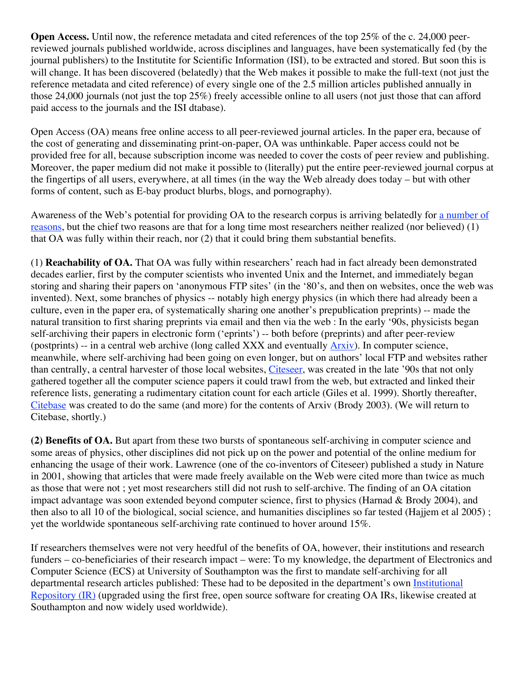**Open Access.** Until now, the reference metadata and cited references of the top 25% of the c. 24,000 peerreviewed journals published worldwide, across disciplines and languages, have been systematically fed (by the journal publishers) to the Institutite for Scientific Information (ISI), to be extracted and stored. But soon this is will change. It has been discovered (belatedly) that the Web makes it possible to make the full-text (not just the reference metadata and cited reference) of every single one of the 2.5 million articles published annually in those 24,000 journals (not just the top 25%) freely accessible online to all users (not just those that can afford paid access to the journals and the ISI dtabase).

Open Access (OA) means free online access to all peer-reviewed journal articles. In the paper era, because of the cost of generating and disseminating print-on-paper, OA was unthinkable. Paper access could not be provided free for all, because subscription income was needed to cover the costs of peer review and publishing. Moreover, the paper medium did not make it possible to (literally) put the entire peer-reviewed journal corpus at the fingertips of all users, everywhere, at all times (in the way the Web already does today – but with other forms of content, such as E-bay product blurbs, blogs, and pornography).

Awareness of the Web's potential for providing OA to the research corpus is arriving belatedly for a number of reasons, but the chief two reasons are that for a long time most researchers neither realized (nor believed) (1) that OA was fully within their reach, nor (2) that it could bring them substantial benefits.

(1) **Reachability of OA.** That OA was fully within researchers' reach had in fact already been demonstrated decades earlier, first by the computer scientists who invented Unix and the Internet, and immediately began storing and sharing their papers on 'anonymous FTP sites' (in the '80's, and then on websites, once the web was invented). Next, some branches of physics -- notably high energy physics (in which there had already been a culture, even in the paper era, of systematically sharing one another's prepublication preprints) -- made the natural transition to first sharing preprints via email and then via the web : In the early '90s, physicists began self-archiving their papers in electronic form ('eprints') -- both before (preprints) and after peer-review (postprints) -- in a central web archive (long called XXX and eventually Arxiv). In computer science, meanwhile, where self-archiving had been going on even longer, but on authors' local FTP and websites rather than centrally, a central harvester of those local websites, Citeseer, was created in the late '90s that not only gathered together all the computer science papers it could trawl from the web, but extracted and linked their reference lists, generating a rudimentary citation count for each article (Giles et al. 1999). Shortly thereafter, Citebase was created to do the same (and more) for the contents of Arxiv (Brody 2003). (We will return to Citebase, shortly.)

**(2) Benefits of OA.** But apart from these two bursts of spontaneous self-archiving in computer science and some areas of physics, other disciplines did not pick up on the power and potential of the online medium for enhancing the usage of their work. Lawrence (one of the co-inventors of Citeseer) published a study in Nature in 2001, showing that articles that were made freely available on the Web were cited more than twice as much as those that were not ; yet most researchers still did not rush to self-archive. The finding of an OA citation impact advantage was soon extended beyond computer science, first to physics (Harnad & Brody 2004), and then also to all 10 of the biological, social science, and humanities disciplines so far tested (Hajjem et al 2005) ; yet the worldwide spontaneous self-archiving rate continued to hover around 15%.

If researchers themselves were not very heedful of the benefits of OA, however, their institutions and research funders – co-beneficiaries of their research impact – were: To my knowledge, the department of Electronics and Computer Science (ECS) at University of Southampton was the first to mandate self-archiving for all departmental research articles published: These had to be deposited in the department's own Institutional Repository (IR) (upgraded using the first free, open source software for creating OA IRs, likewise created at Southampton and now widely used worldwide).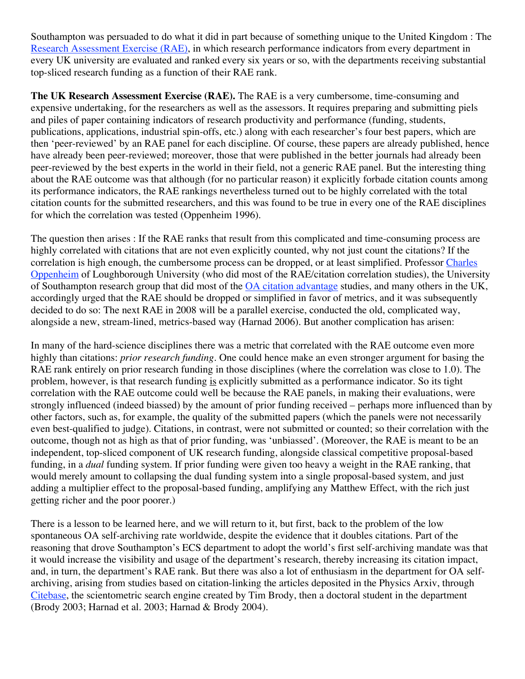Southampton was persuaded to do what it did in part because of something unique to the United Kingdom : The Research Assessment Exercise (RAE), in which research performance indicators from every department in every UK university are evaluated and ranked every six years or so, with the departments receiving substantial top-sliced research funding as a function of their RAE rank.

**The UK Research Assessment Exercise (RAE).** The RAE is a very cumbersome, time-consuming and expensive undertaking, for the researchers as well as the assessors. It requires preparing and submitting piels and piles of paper containing indicators of research productivity and performance (funding, students, publications, applications, industrial spin-offs, etc.) along with each researcher's four best papers, which are then 'peer-reviewed' by an RAE panel for each discipline. Of course, these papers are already published, hence have already been peer-reviewed; moreover, those that were published in the better journals had already been peer-reviewed by the best experts in the world in their field, not a generic RAE panel. But the interesting thing about the RAE outcome was that although (for no particular reason) it explicitly forbade citation counts among its performance indicators, the RAE rankings nevertheless turned out to be highly correlated with the total citation counts for the submitted researchers, and this was found to be true in every one of the RAE disciplines for which the correlation was tested (Oppenheim 1996).

The question then arises : If the RAE ranks that result from this complicated and time-consuming process are highly correlated with citations that are not even explicitly counted, why not just count the citations? If the correlation is high enough, the cumbersome process can be dropped, or at least simplified. Professor Charles Oppenheim of Loughborough University (who did most of the RAE/citation correlation studies), the University of Southampton research group that did most of the OA citation advantage studies, and many others in the UK, accordingly urged that the RAE should be dropped or simplified in favor of metrics, and it was subsequently decided to do so: The next RAE in 2008 will be a parallel exercise, conducted the old, complicated way, alongside a new, stream-lined, metrics-based way (Harnad 2006). But another complication has arisen:

In many of the hard-science disciplines there was a metric that correlated with the RAE outcome even more highly than citations: *prior research funding*. One could hence make an even stronger argument for basing the RAE rank entirely on prior research funding in those disciplines (where the correlation was close to 1.0). The problem, however, is that research funding is explicitly submitted as a performance indicator. So its tight correlation with the RAE outcome could well be because the RAE panels, in making their evaluations, were strongly influenced (indeed biassed) by the amount of prior funding received – perhaps more influenced than by other factors, such as, for example, the quality of the submitted papers (which the panels were not necessarily even best-qualified to judge). Citations, in contrast, were not submitted or counted; so their correlation with the outcome, though not as high as that of prior funding, was 'unbiassed'. (Moreover, the RAE is meant to be an independent, top-sliced component of UK research funding, alongside classical competitive proposal-based funding, in a *dual* funding system. If prior funding were given too heavy a weight in the RAE ranking, that would merely amount to collapsing the dual funding system into a single proposal-based system, and just adding a multiplier effect to the proposal-based funding, amplifying any Matthew Effect, with the rich just getting richer and the poor poorer.)

There is a lesson to be learned here, and we will return to it, but first, back to the problem of the low spontaneous OA self-archiving rate worldwide, despite the evidence that it doubles citations. Part of the reasoning that drove Southampton's ECS department to adopt the world's first self-archiving mandate was that it would increase the visibility and usage of the department's research, thereby increasing its citation impact, and, in turn, the department's RAE rank. But there was also a lot of enthusiasm in the department for OA selfarchiving, arising from studies based on citation-linking the articles deposited in the Physics Arxiv, through Citebase, the scientometric search engine created by Tim Brody, then a doctoral student in the department (Brody 2003; Harnad et al. 2003; Harnad & Brody 2004).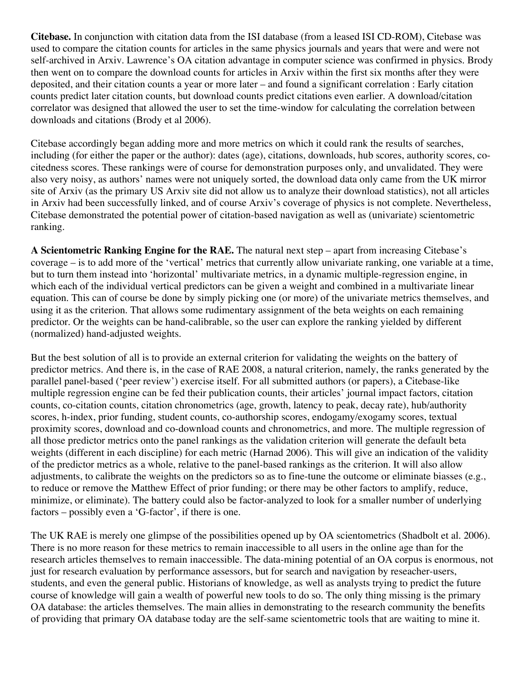**Citebase.** In conjunction with citation data from the ISI database (from a leased ISI CD-ROM), Citebase was used to compare the citation counts for articles in the same physics journals and years that were and were not self-archived in Arxiv. Lawrence's OA citation advantage in computer science was confirmed in physics. Brody then went on to compare the download counts for articles in Arxiv within the first six months after they were deposited, and their citation counts a year or more later – and found a significant correlation : Early citation counts predict later citation counts, but download counts predict citations even earlier. A download/citation correlator was designed that allowed the user to set the time-window for calculating the correlation between downloads and citations (Brody et al 2006).

Citebase accordingly began adding more and more metrics on which it could rank the results of searches, including (for either the paper or the author): dates (age), citations, downloads, hub scores, authority scores, cocitedness scores. These rankings were of course for demonstration purposes only, and unvalidated. They were also very noisy, as authors' names were not uniquely sorted, the download data only came from the UK mirror site of Arxiv (as the primary US Arxiv site did not allow us to analyze their download statistics), not all articles in Arxiv had been successfully linked, and of course Arxiv's coverage of physics is not complete. Nevertheless, Citebase demonstrated the potential power of citation-based navigation as well as (univariate) scientometric ranking.

**A Scientometric Ranking Engine for the RAE.** The natural next step – apart from increasing Citebase's coverage – is to add more of the 'vertical' metrics that currently allow univariate ranking, one variable at a time, but to turn them instead into 'horizontal' multivariate metrics, in a dynamic multiple-regression engine, in which each of the individual vertical predictors can be given a weight and combined in a multivariate linear equation. This can of course be done by simply picking one (or more) of the univariate metrics themselves, and using it as the criterion. That allows some rudimentary assignment of the beta weights on each remaining predictor. Or the weights can be hand-calibrable, so the user can explore the ranking yielded by different (normalized) hand-adjusted weights.

But the best solution of all is to provide an external criterion for validating the weights on the battery of predictor metrics. And there is, in the case of RAE 2008, a natural criterion, namely, the ranks generated by the parallel panel-based ('peer review') exercise itself. For all submitted authors (or papers), a Citebase-like multiple regression engine can be fed their publication counts, their articles' journal impact factors, citation counts, co-citation counts, citation chronometrics (age, growth, latency to peak, decay rate), hub/authority scores, h-index, prior funding, student counts, co-authorship scores, endogamy/exogamy scores, textual proximity scores, download and co-download counts and chronometrics, and more. The multiple regression of all those predictor metrics onto the panel rankings as the validation criterion will generate the default beta weights (different in each discipline) for each metric (Harnad 2006). This will give an indication of the validity of the predictor metrics as a whole, relative to the panel-based rankings as the criterion. It will also allow adjustments, to calibrate the weights on the predictors so as to fine-tune the outcome or eliminate biasses (e.g., to reduce or remove the Matthew Effect of prior funding; or there may be other factors to amplify, reduce, minimize, or eliminate). The battery could also be factor-analyzed to look for a smaller number of underlying factors – possibly even a 'G-factor', if there is one.

The UK RAE is merely one glimpse of the possibilities opened up by OA scientometrics (Shadbolt et al. 2006). There is no more reason for these metrics to remain inaccessible to all users in the online age than for the research articles themselves to remain inaccessible. The data-mining potential of an OA corpus is enormous, not just for research evaluation by performance assessors, but for search and navigation by reseacher-users, students, and even the general public. Historians of knowledge, as well as analysts trying to predict the future course of knowledge will gain a wealth of powerful new tools to do so. The only thing missing is the primary OA database: the articles themselves. The main allies in demonstrating to the research community the benefits of providing that primary OA database today are the self-same scientometric tools that are waiting to mine it.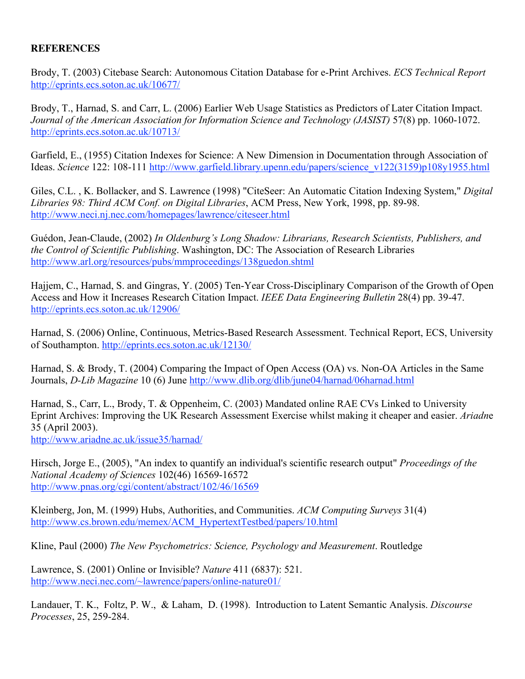## **REFERENCES**

Brody, T. (2003) Citebase Search: Autonomous Citation Database for e-Print Archives. *ECS Technical Report* http://eprints.ecs.soton.ac.uk/10677/

Brody, T., Harnad, S. and Carr, L. (2006) Earlier Web Usage Statistics as Predictors of Later Citation Impact. *Journal of the American Association for Information Science and Technology (JASIST)* 57(8) pp. 1060-1072. http://eprints.ecs.soton.ac.uk/10713/

Garfield, E., (1955) Citation Indexes for Science: A New Dimension in Documentation through Association of Ideas. *Science* 122: 108-111 http://www.garfield.library.upenn.edu/papers/science\_v122(3159)p108y1955.html

Giles, C.L. , K. Bollacker, and S. Lawrence (1998) "CiteSeer: An Automatic Citation Indexing System," *Digital Libraries 98: Third ACM Conf. on Digital Libraries*, ACM Press, New York, 1998, pp. 89-98. http://www.neci.nj.nec.com/homepages/lawrence/citeseer.html

Guédon, Jean-Claude, (2002) *In Oldenburg's Long Shadow: Librarians, Research Scientists, Publishers, and the Control of Scientific Publishing*. Washington, DC: The Association of Research Libraries http://www.arl.org/resources/pubs/mmproceedings/138guedon.shtml

Hajjem, C., Harnad, S. and Gingras, Y. (2005) Ten-Year Cross-Disciplinary Comparison of the Growth of Open Access and How it Increases Research Citation Impact. *IEEE Data Engineering Bulletin* 28(4) pp. 39-47. http://eprints.ecs.soton.ac.uk/12906/

Harnad, S. (2006) Online, Continuous, Metrics-Based Research Assessment. Technical Report, ECS, University of Southampton. http://eprints.ecs.soton.ac.uk/12130/

Harnad, S. & Brody, T. (2004) Comparing the Impact of Open Access (OA) vs. Non-OA Articles in the Same Journals, *D-Lib Magazine* 10 (6) June http://www.dlib.org/dlib/june04/harnad/06harnad.html

Harnad, S., Carr, L., Brody, T. & Oppenheim, C. (2003) Mandated online RAE CVs Linked to University Eprint Archives: Improving the UK Research Assessment Exercise whilst making it cheaper and easier. *Ariadn*e 35 (April 2003).

http://www.ariadne.ac.uk/issue35/harnad/

Hirsch, Jorge E., (2005), "An index to quantify an individual's scientific research output" *Proceedings of the National Academy of Sciences* 102(46) 16569-16572 http://www.pnas.org/cgi/content/abstract/102/46/16569

Kleinberg, Jon, M. (1999) Hubs, Authorities, and Communities. *ACM Computing Surveys* 31(4) http://www.cs.brown.edu/memex/ACM\_HypertextTestbed/papers/10.html

Kline, Paul (2000) *The New Psychometrics: Science, Psychology and Measurement*. Routledge

Lawrence, S. (2001) Online or Invisible? *Nature* 411 (6837): 521. http://www.neci.nec.com/~lawrence/papers/online-nature01/

Landauer, T. K., Foltz, P. W., & Laham, D. (1998). Introduction to Latent Semantic Analysis. *Discourse Processes*, 25, 259-284.